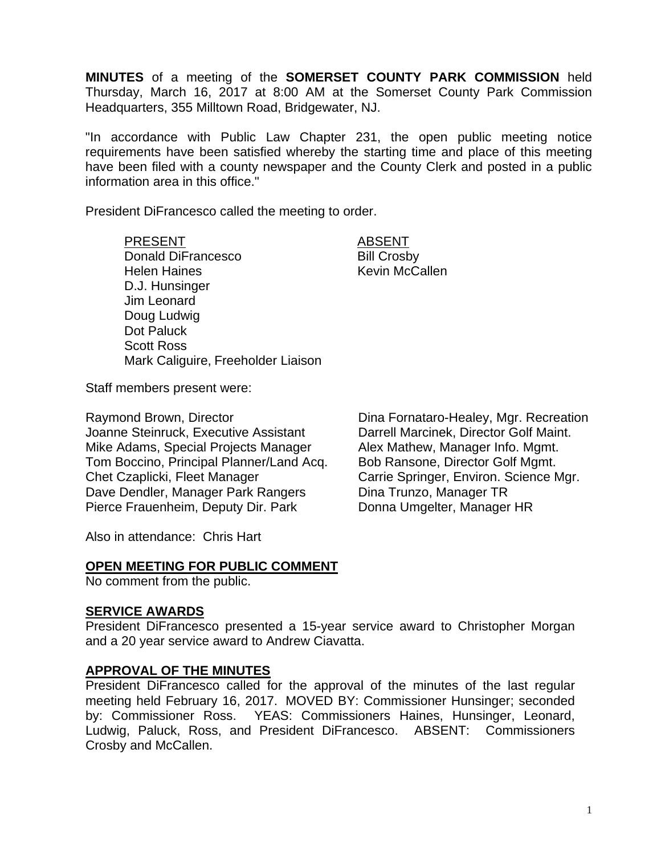**MINUTES** of a meeting of the **SOMERSET COUNTY PARK COMMISSION** held Thursday, March 16, 2017 at 8:00 AM at the Somerset County Park Commission Headquarters, 355 Milltown Road, Bridgewater, NJ.

"In accordance with Public Law Chapter 231, the open public meeting notice requirements have been satisfied whereby the starting time and place of this meeting have been filed with a county newspaper and the County Clerk and posted in a public information area in this office."

President DiFrancesco called the meeting to order.

PRESENT ABSENT Donald DiFrancesco Bill Crosby Helen Haines **Kevin McCallen** D.J. Hunsinger Jim Leonard Doug Ludwig Dot Paluck Scott Ross Mark Caliguire, Freeholder Liaison

Staff members present were:

Raymond Brown, Director Joanne Steinruck, Executive Assistant Mike Adams, Special Projects Manager Tom Boccino, Principal Planner/Land Acq. Chet Czaplicki, Fleet Manager Dave Dendler, Manager Park Rangers Pierce Frauenheim, Deputy Dir. Park

Dina Fornataro-Healey, Mgr. Recreation Darrell Marcinek, Director Golf Maint. Alex Mathew, Manager Info. Mgmt. Bob Ransone, Director Golf Mgmt. Carrie Springer, Environ. Science Mgr. Dina Trunzo, Manager TR Donna Umgelter, Manager HR

Also in attendance: Chris Hart

### **OPEN MEETING FOR PUBLIC COMMENT**

No comment from the public.

### **SERVICE AWARDS**

President DiFrancesco presented a 15-year service award to Christopher Morgan and a 20 year service award to Andrew Ciavatta.

### **APPROVAL OF THE MINUTES**

President DiFrancesco called for the approval of the minutes of the last regular meeting held February 16, 2017. MOVED BY: Commissioner Hunsinger; seconded by: Commissioner Ross. YEAS: Commissioners Haines, Hunsinger, Leonard, Ludwig, Paluck, Ross, and President DiFrancesco. ABSENT: Commissioners Crosby and McCallen.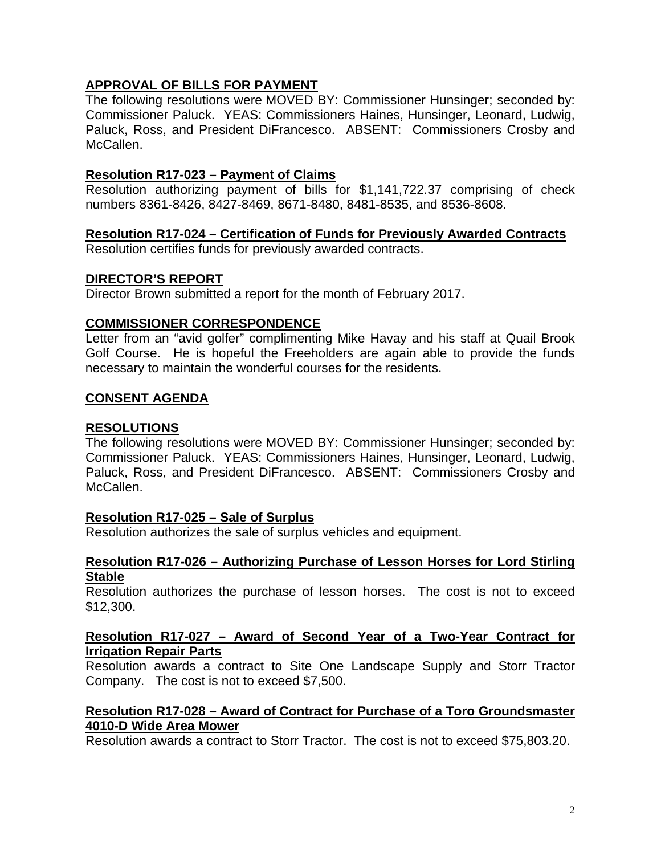# **APPROVAL OF BILLS FOR PAYMENT**

The following resolutions were MOVED BY: Commissioner Hunsinger; seconded by: Commissioner Paluck. YEAS: Commissioners Haines, Hunsinger, Leonard, Ludwig, Paluck, Ross, and President DiFrancesco. ABSENT: Commissioners Crosby and McCallen.

## **Resolution R17-023 – Payment of Claims**

Resolution authorizing payment of bills for \$1,141,722.37 comprising of check numbers 8361-8426, 8427-8469, 8671-8480, 8481-8535, and 8536-8608.

## **Resolution R17-024 – Certification of Funds for Previously Awarded Contracts**

Resolution certifies funds for previously awarded contracts.

## **DIRECTOR'S REPORT**

Director Brown submitted a report for the month of February 2017.

## **COMMISSIONER CORRESPONDENCE**

Letter from an "avid golfer" complimenting Mike Havay and his staff at Quail Brook Golf Course. He is hopeful the Freeholders are again able to provide the funds necessary to maintain the wonderful courses for the residents.

## **CONSENT AGENDA**

### **RESOLUTIONS**

The following resolutions were MOVED BY: Commissioner Hunsinger; seconded by: Commissioner Paluck. YEAS: Commissioners Haines, Hunsinger, Leonard, Ludwig, Paluck, Ross, and President DiFrancesco. ABSENT: Commissioners Crosby and McCallen.

### **Resolution R17-025 – Sale of Surplus**

Resolution authorizes the sale of surplus vehicles and equipment.

#### **Resolution R17-026 – Authorizing Purchase of Lesson Horses for Lord Stirling Stable**

Resolution authorizes the purchase of lesson horses. The cost is not to exceed \$12,300.

### **Resolution R17-027 – Award of Second Year of a Two-Year Contract for Irrigation Repair Parts**

Resolution awards a contract to Site One Landscape Supply and Storr Tractor Company. The cost is not to exceed \$7,500.

## **Resolution R17-028 – Award of Contract for Purchase of a Toro Groundsmaster 4010-D Wide Area Mower**

Resolution awards a contract to Storr Tractor. The cost is not to exceed \$75,803.20.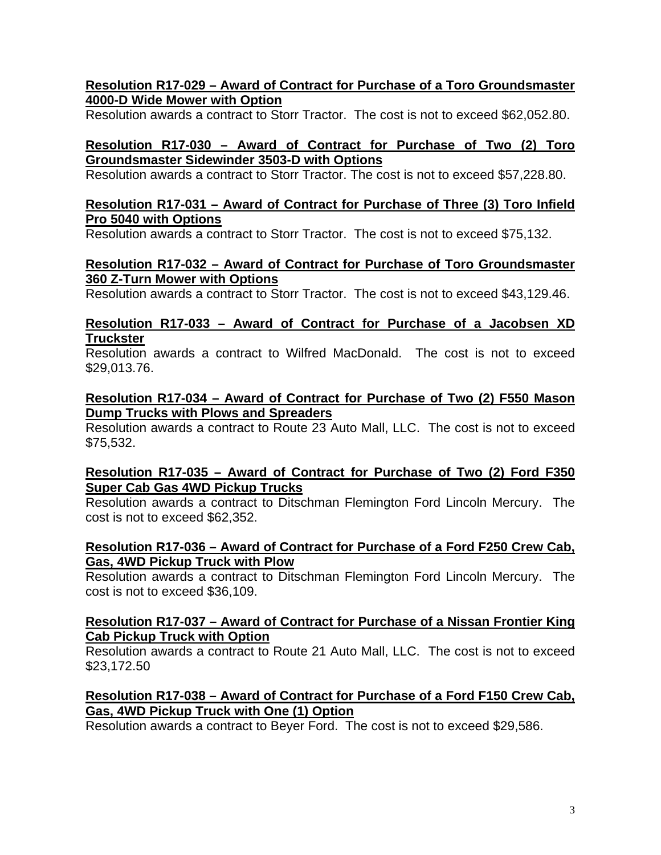## **Resolution R17-029 – Award of Contract for Purchase of a Toro Groundsmaster 4000-D Wide Mower with Option**

Resolution awards a contract to Storr Tractor. The cost is not to exceed \$62,052.80.

# **Resolution R17-030 – Award of Contract for Purchase of Two (2) Toro Groundsmaster Sidewinder 3503-D with Options**

Resolution awards a contract to Storr Tractor. The cost is not to exceed \$57,228.80.

## **Resolution R17-031 – Award of Contract for Purchase of Three (3) Toro Infield Pro 5040 with Options**

Resolution awards a contract to Storr Tractor. The cost is not to exceed \$75,132.

### **Resolution R17-032 – Award of Contract for Purchase of Toro Groundsmaster 360 Z-Turn Mower with Options**

Resolution awards a contract to Storr Tractor. The cost is not to exceed \$43,129.46.

## **Resolution R17-033 – Award of Contract for Purchase of a Jacobsen XD Truckster**

Resolution awards a contract to Wilfred MacDonald. The cost is not to exceed \$29,013.76.

### **Resolution R17-034 – Award of Contract for Purchase of Two (2) F550 Mason Dump Trucks with Plows and Spreaders**

Resolution awards a contract to Route 23 Auto Mall, LLC. The cost is not to exceed \$75,532.

## **Resolution R17-035 – Award of Contract for Purchase of Two (2) Ford F350 Super Cab Gas 4WD Pickup Trucks**

Resolution awards a contract to Ditschman Flemington Ford Lincoln Mercury. The cost is not to exceed \$62,352.

## **Resolution R17-036 – Award of Contract for Purchase of a Ford F250 Crew Cab, Gas, 4WD Pickup Truck with Plow**

Resolution awards a contract to Ditschman Flemington Ford Lincoln Mercury. The cost is not to exceed \$36,109.

## **Resolution R17-037 – Award of Contract for Purchase of a Nissan Frontier King Cab Pickup Truck with Option**

Resolution awards a contract to Route 21 Auto Mall, LLC. The cost is not to exceed \$23,172.50

# **Resolution R17-038 – Award of Contract for Purchase of a Ford F150 Crew Cab, Gas, 4WD Pickup Truck with One (1) Option**

Resolution awards a contract to Beyer Ford. The cost is not to exceed \$29,586.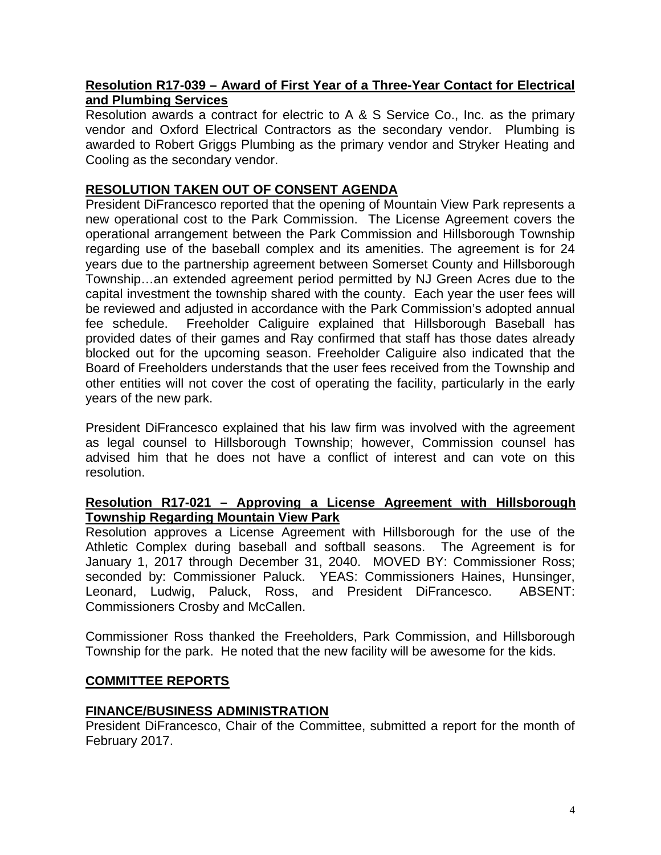### **Resolution R17-039 – Award of First Year of a Three-Year Contact for Electrical and Plumbing Services**

Resolution awards a contract for electric to A & S Service Co., Inc. as the primary vendor and Oxford Electrical Contractors as the secondary vendor. Plumbing is awarded to Robert Griggs Plumbing as the primary vendor and Stryker Heating and Cooling as the secondary vendor.

# **RESOLUTION TAKEN OUT OF CONSENT AGENDA**

President DiFrancesco reported that the opening of Mountain View Park represents a new operational cost to the Park Commission. The License Agreement covers the operational arrangement between the Park Commission and Hillsborough Township regarding use of the baseball complex and its amenities. The agreement is for 24 years due to the partnership agreement between Somerset County and Hillsborough Township…an extended agreement period permitted by NJ Green Acres due to the capital investment the township shared with the county. Each year the user fees will be reviewed and adjusted in accordance with the Park Commission's adopted annual fee schedule. Freeholder Caliguire explained that Hillsborough Baseball has provided dates of their games and Ray confirmed that staff has those dates already blocked out for the upcoming season. Freeholder Caliguire also indicated that the Board of Freeholders understands that the user fees received from the Township and other entities will not cover the cost of operating the facility, particularly in the early years of the new park.

President DiFrancesco explained that his law firm was involved with the agreement as legal counsel to Hillsborough Township; however, Commission counsel has advised him that he does not have a conflict of interest and can vote on this resolution.

## **Resolution R17-021 – Approving a License Agreement with Hillsborough Township Regarding Mountain View Park**

Resolution approves a License Agreement with Hillsborough for the use of the Athletic Complex during baseball and softball seasons. The Agreement is for January 1, 2017 through December 31, 2040. MOVED BY: Commissioner Ross; seconded by: Commissioner Paluck. YEAS: Commissioners Haines, Hunsinger, Leonard, Ludwig, Paluck, Ross, and President DiFrancesco. ABSENT: Commissioners Crosby and McCallen.

Commissioner Ross thanked the Freeholders, Park Commission, and Hillsborough Township for the park. He noted that the new facility will be awesome for the kids.

# **COMMITTEE REPORTS**

# **FINANCE/BUSINESS ADMINISTRATION**

President DiFrancesco, Chair of the Committee, submitted a report for the month of February 2017.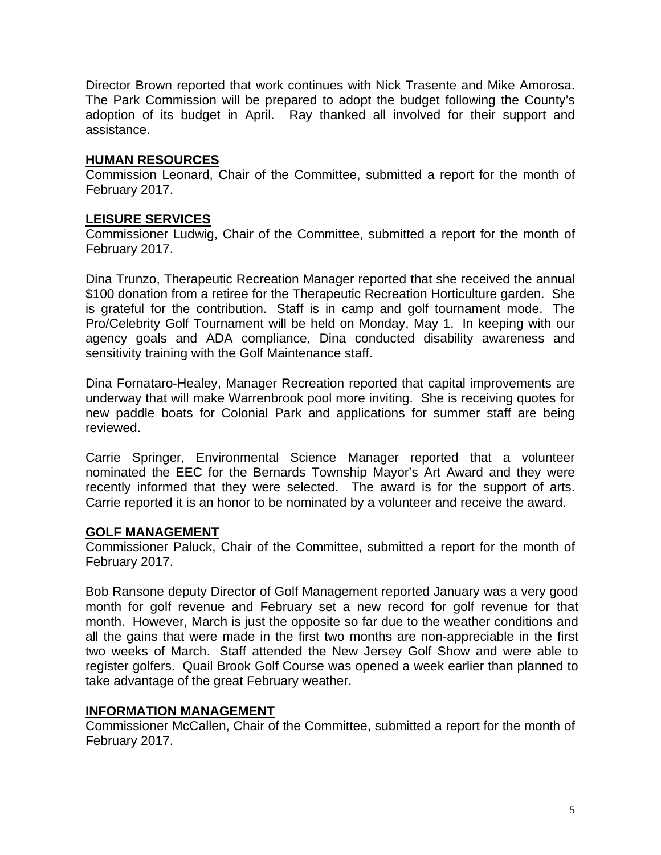Director Brown reported that work continues with Nick Trasente and Mike Amorosa. The Park Commission will be prepared to adopt the budget following the County's adoption of its budget in April. Ray thanked all involved for their support and assistance.

### **HUMAN RESOURCES**

Commission Leonard, Chair of the Committee, submitted a report for the month of February 2017.

### **LEISURE SERVICES**

Commissioner Ludwig, Chair of the Committee, submitted a report for the month of February 2017.

Dina Trunzo, Therapeutic Recreation Manager reported that she received the annual \$100 donation from a retiree for the Therapeutic Recreation Horticulture garden. She is grateful for the contribution. Staff is in camp and golf tournament mode. The Pro/Celebrity Golf Tournament will be held on Monday, May 1. In keeping with our agency goals and ADA compliance, Dina conducted disability awareness and sensitivity training with the Golf Maintenance staff.

Dina Fornataro-Healey, Manager Recreation reported that capital improvements are underway that will make Warrenbrook pool more inviting. She is receiving quotes for new paddle boats for Colonial Park and applications for summer staff are being reviewed.

Carrie Springer, Environmental Science Manager reported that a volunteer nominated the EEC for the Bernards Township Mayor's Art Award and they were recently informed that they were selected. The award is for the support of arts. Carrie reported it is an honor to be nominated by a volunteer and receive the award.

### **GOLF MANAGEMENT**

Commissioner Paluck, Chair of the Committee, submitted a report for the month of February 2017.

Bob Ransone deputy Director of Golf Management reported January was a very good month for golf revenue and February set a new record for golf revenue for that month. However, March is just the opposite so far due to the weather conditions and all the gains that were made in the first two months are non-appreciable in the first two weeks of March. Staff attended the New Jersey Golf Show and were able to register golfers. Quail Brook Golf Course was opened a week earlier than planned to take advantage of the great February weather.

### **INFORMATION MANAGEMENT**

Commissioner McCallen, Chair of the Committee, submitted a report for the month of February 2017.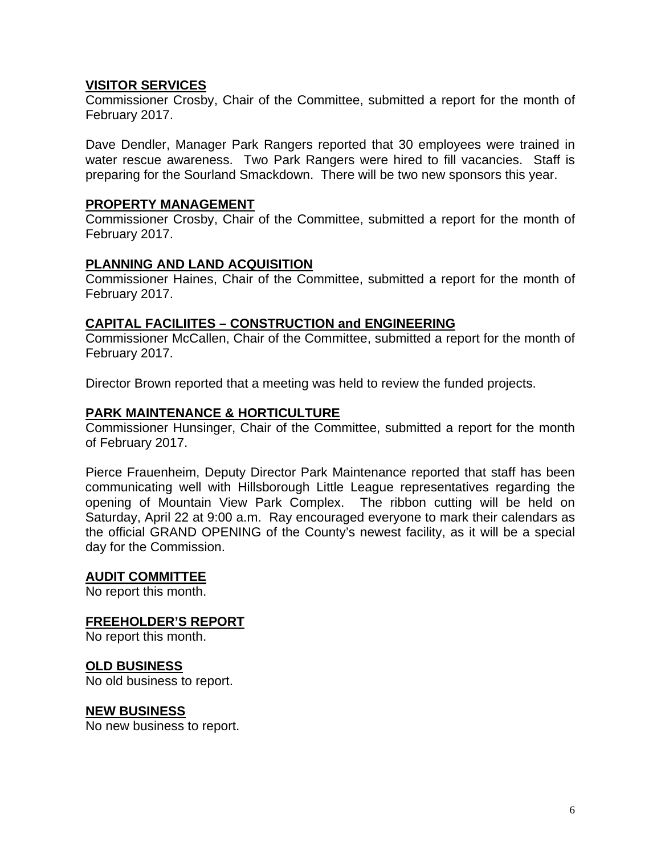### **VISITOR SERVICES**

Commissioner Crosby, Chair of the Committee, submitted a report for the month of February 2017.

Dave Dendler, Manager Park Rangers reported that 30 employees were trained in water rescue awareness. Two Park Rangers were hired to fill vacancies. Staff is preparing for the Sourland Smackdown. There will be two new sponsors this year.

### **PROPERTY MANAGEMENT**

Commissioner Crosby, Chair of the Committee, submitted a report for the month of February 2017.

### **PLANNING AND LAND ACQUISITION**

Commissioner Haines, Chair of the Committee, submitted a report for the month of February 2017.

### **CAPITAL FACILIITES – CONSTRUCTION and ENGINEERING**

Commissioner McCallen, Chair of the Committee, submitted a report for the month of February 2017.

Director Brown reported that a meeting was held to review the funded projects.

### **PARK MAINTENANCE & HORTICULTURE**

Commissioner Hunsinger, Chair of the Committee, submitted a report for the month of February 2017.

Pierce Frauenheim, Deputy Director Park Maintenance reported that staff has been communicating well with Hillsborough Little League representatives regarding the opening of Mountain View Park Complex. The ribbon cutting will be held on Saturday, April 22 at 9:00 a.m. Ray encouraged everyone to mark their calendars as the official GRAND OPENING of the County's newest facility, as it will be a special day for the Commission.

#### **AUDIT COMMITTEE**

No report this month.

### **FREEHOLDER'S REPORT**

No report this month.

### **OLD BUSINESS**

No old business to report.

#### **NEW BUSINESS**

No new business to report.